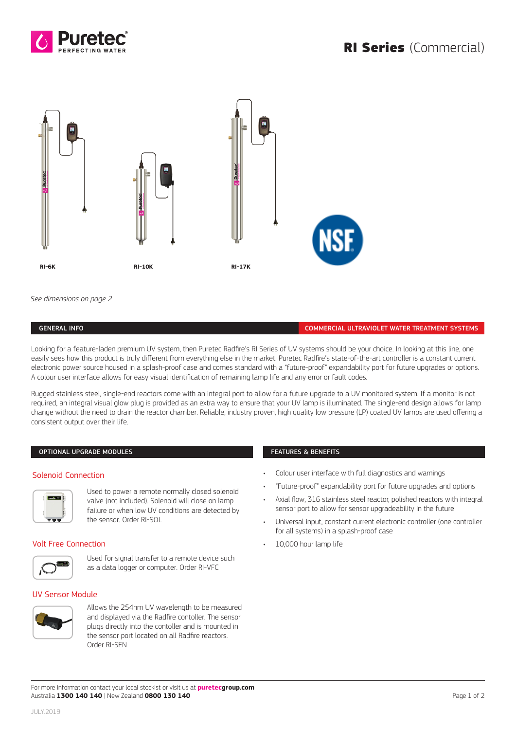



*See dimensions on page 2*

### GENERAL INFO COMMERCIAL ULTRAVIOLET WATER TREATMENT SYSTEMS

Looking for a feature-laden premium UV system, then Puretec Radfire's RI Series of UV systems should be your choice. In looking at this line, one easily sees how this product is truly different from everything else in the market. Puretec Radfire's state-of-the-art controller is a constant current electronic power source housed in a splash-proof case and comes standard with a "future-proof" expandability port for future upgrades or options. A colour user interface allows for easy visual identification of remaining lamp life and any error or fault codes.

Rugged stainless steel, single-end reactors come with an integral port to allow for a future upgrade to a UV monitored system. If a monitor is not required, an integral visual glow plug is provided as an extra way to ensure that your UV lamp is illuminated. The single-end design allows for lamp change without the need to drain the reactor chamber. Reliable, industry proven, high quality low pressure (LP) coated UV lamps are used offering a consistent output over their life.

## OPTIONAL UPGRADE MODULES *Typical POE Installations Optional Upgrade Modules*

### Solenoid Connection *Typical POE Installations Optional Upgrade Modules Solenoid Connection*



Used to power a remote normally closed solenoid Used to power a remote normally closed solenoid *Solenoid Module* valve (not included). Solenoid will close on lamp valve (not included). Solenoid will close on lamp Used to power a remote normally closed solenoid failure or when low UV conditions are detected by failure or when low UV conditions are detected by the sensor. Order RI-SOL Failure (Mod-Medadea), Solenoid Militable close valve (not included). Solenoid will clos ralitule of will clow over contuitions are

# Volt Free Connection *4-20m Module 4-20m Module*



Used for signal transfer to a remote device such Used for signal transfer to a remote device such as a as a data logger or computer. Order RI-VFC Used for signal transfer to a remote device such as a such as a such as a such as a such as a such as a such as a such as a such as a such as a such as a such as a such as a such as a such as a such as a such as a such as

### UV Sensor Module Allows the 254nm UV wavelength to be measured *UV Sensor Module* and displayed via the BLACKCOMB-HO5.0 conto  $\alpha$ uvelength to be measured to be measured to be measured to be measured to be measured to be measured to be measured to be  $\alpha$ *UV Sensor Module*



Allows the 254nm UV wavelength to be measured and displayed via the Radfire contoller. The sensor and displayed vid the natime contoller. The sense<br>plugs directly into the contoller and is mounted in the sensor port located on all Radfire reactors. Order RI-SEN all Home supplies, order that the sensor plugs directly into the contoller and is no and displayed via the Radfire contoller. plugs unectly into the contouer and

### FEATURES & BENEFITS

- Colour user interface with full diagnostics and warnings
- "Future-proof" expandability port for future upgrades and options
- Axial flow, 316 stainless steel reactor, polished reactors with integral sensor port to allow for sensor upgradeability in the future
- Universal input, constant current electronic controller (one controller for all systems) in a splash-proof case
- 10,000 hour lamp life